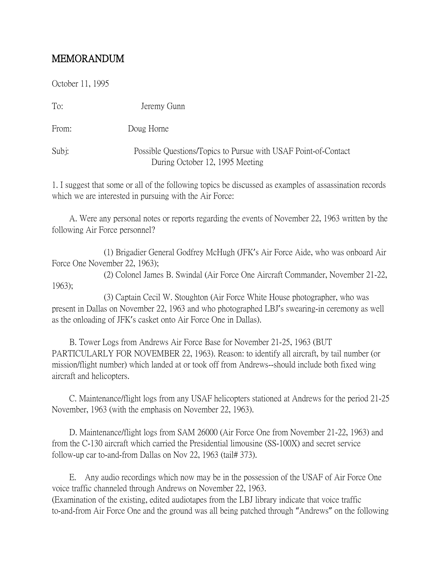## MEMORANDUM

October 11, 1995

| To:   | Jeremy Gunn                                                                                       |
|-------|---------------------------------------------------------------------------------------------------|
| From: | Doug Horne                                                                                        |
| Subi: | Possible Questions/Topics to Pursue with USAF Point-of-Contact<br>During October 12, 1995 Meeting |

1. I suggest that some or all of the following topics be discussed as examples of assassination records which we are interested in pursuing with the Air Force:

 A. Were any personal notes or reports regarding the events of November 22, 1963 written by the following Air Force personnel?

 (1) Brigadier General Godfrey McHugh (JFK's Air Force Aide, who was onboard Air Force One November 22, 1963);

 (2) Colonel James B. Swindal (Air Force One Aircraft Commander, November 21-22, 1963);

 (3) Captain Cecil W. Stoughton (Air Force White House photographer, who was present in Dallas on November 22, 1963 and who photographed LBJ's swearing-in ceremony as well as the onloading of JFK's casket onto Air Force One in Dallas).

 B. Tower Logs from Andrews Air Force Base for November 21-25, 1963 (BUT PARTICULARLY FOR NOVEMBER 22, 1963). Reason: to identify all aircraft, by tail number (or mission/flight number) which landed at or took off from Andrews--should include both fixed wing aircraft and helicopters.

 C. Maintenance/flight logs from any USAF helicopters stationed at Andrews for the period 21-25 November, 1963 (with the emphasis on November 22, 1963).

 D. Maintenance/flight logs from SAM 26000 (Air Force One from November 21-22, 1963) and from the C-130 aircraft which carried the Presidential limousine (SS-100X) and secret service follow-up car to-and-from Dallas on Nov 22, 1963 (tail# 373).

 E. Any audio recordings which now may be in the possession of the USAF of Air Force One voice traffic channeled through Andrews on November 22, 1963. (Examination of the existing, edited audiotapes from the LBJ library indicate that voice traffic to-and-from Air Force One and the ground was all being patched through "Andrews" on the following